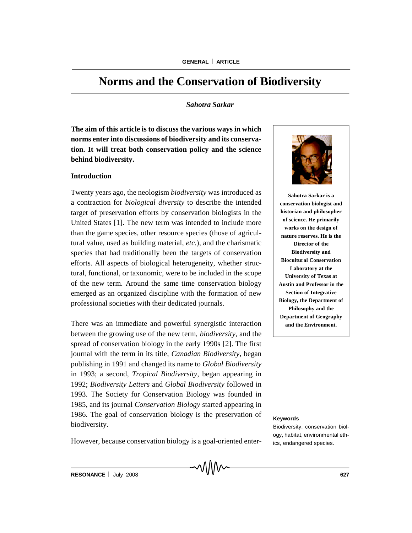# **Norms and the Conservation of Biodiversity**

#### *Sahotra Sarkar*

**The aim of this article is to discuss the various ways in which norms enter into discussions of biodiversity and its conservation. It will treat both conservation policy and the science behind biodiversity.**

#### **Introduction**

Twenty years ago, the neologism *biodiversity* was introduced as a contraction for *biological diversity* to describe the intended target of preservation efforts by conservation biologists in the United States [1]. The new term was intended to include more than the game species, other resource species (those of agricultural value, used as building material, *etc*.), and the charismatic species that had traditionally been the targets of conservation efforts. All aspects of biological heterogeneity, whether structural, functional, or taxonomic, were to be included in the scope of the new term. Around the same time conservation biology emerged as an organized discipline with the formation of new professional societies with their dedicated journals.

There was an immediate and powerful synergistic interaction between the growing use of the new term, *biodiversity*, and the spread of conservation biology in the early 1990s [2]. The first journal with the term in its title, *Canadian Biodiversity,* began publishing in 1991 and changed its name to *Global Biodiversity* in 1993; a second, *Tropical Biodiversity,* began appearing in 1992; *Biodiversity Letters* and *Global Biodiversity* followed in 1993. The Society for Conservation Biology was founded in 1985, and its journal *Conservation Biology* started appearing in 1986. The goal of conservation biology is the preservation of biodiversity.



**Sahotra Sarkar is a conservation biologist and historian and philosopher of science. He primarily works on the design of nature reserves. He is the Director of the Biodiversity and Biocultural Conservation Laboratory at the University of Texas at Austin and Professor in the Section of Integrative Biology, the Department of Philosophy and the Department of Geography and the Environment.**

#### **Keywords**

Biodiversity, conservation biology, habitat, environmental ethics, endangered species.

However, because conservation biology is a goal-oriented enter-

᠕᠕᠕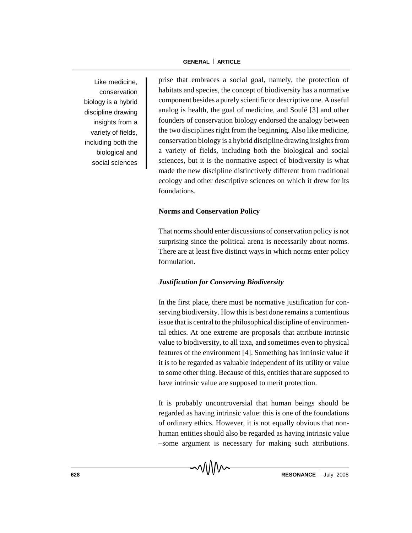Like medicine, conservation biology is a hybrid discipline drawing insights from a variety of fields, including both the biological and social sciences prise that embraces a social goal, namely, the protection of habitats and species, the concept of biodiversity has a normative component besides a purely scientific or descriptive one. A useful analog is health, the goal of medicine, and Soulé [3] and other founders of conservation biology endorsed the analogy between the two disciplines right from the beginning. Also like medicine, conservation biology is a hybrid discipline drawing insights from a variety of fields, including both the biological and social sciences, but it is the normative aspect of biodiversity is what made the new discipline distinctively different from traditional ecology and other descriptive sciences on which it drew for its foundations.

## **Norms and Conservation Policy**

That norms should enter discussions of conservation policy is not surprising since the political arena is necessarily about norms. There are at least five distinct ways in which norms enter policy formulation.

# *Justification for Conserving Biodiversity*

In the first place, there must be normative justification for conserving biodiversity. How this is best done remains a contentious issue that is central to the philosophical discipline of environmental ethics. At one extreme are proposals that attribute intrinsic value to biodiversity, to all taxa, and sometimes even to physical features of the environment [4]. Something has intrinsic value if it is to be regarded as valuable independent of its utility or value to some other thing. Because of this, entities that are supposed to have intrinsic value are supposed to merit protection.

It is probably uncontroversial that human beings should be regarded as having intrinsic value: this is one of the foundations of ordinary ethics. However, it is not equally obvious that nonhuman entities should also be regarded as having intrinsic value –some argument is necessary for making such attributions.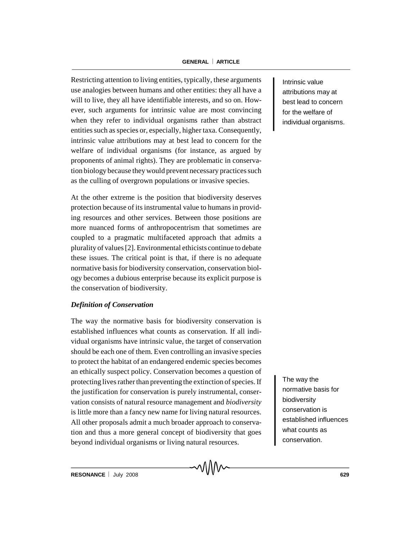#### **GENERAL ARTICLE**

Restricting attention to living entities, typically, these arguments use analogies between humans and other entities: they all have a will to live, they all have identifiable interests, and so on. However, such arguments for intrinsic value are most convincing when they refer to individual organisms rather than abstract entities such as species or, especially, higher taxa. Consequently, intrinsic value attributions may at best lead to concern for the welfare of individual organisms (for instance, as argued by proponents of animal rights). They are problematic in conservation biology because they would prevent necessary practices such as the culling of overgrown populations or invasive species.

At the other extreme is the position that biodiversity deserves protection because of its instrumental value to humans in providing resources and other services. Between those positions are more nuanced forms of anthropocentrism that sometimes are coupled to a pragmatic multifaceted approach that admits a plurality of values [2]. Environmental ethicists continue to debate these issues. The critical point is that, if there is no adequate normative basis for biodiversity conservation, conservation biology becomes a dubious enterprise because its explicit purpose is the conservation of biodiversity.

#### *Definition of Conservation*

The way the normative basis for biodiversity conservation is established influences what counts as conservation. If all individual organisms have intrinsic value, the target of conservation should be each one of them. Even controlling an invasive species to protect the habitat of an endangered endemic species becomes an ethically suspect policy. Conservation becomes a question of protecting lives rather than preventing the extinction of species. If the justification for conservation is purely instrumental, conservation consists of natural resource management and *biodiversity* is little more than a fancy new name for living natural resources. All other proposals admit a much broader approach to conservation and thus a more general concept of biodiversity that goes beyond individual organisms or living natural resources.

∧∧∧∧∼

Intrinsic value attributions may at best lead to concern for the welfare of individual organisms.

The way the normative basis for biodiversity conservation is established influences what counts as conservation.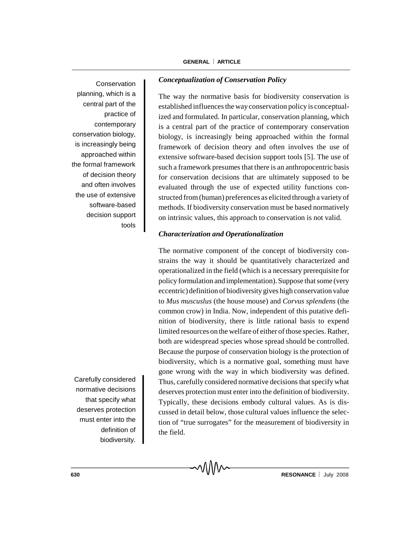**Conservation** planning, which is a central part of the practice of contemporary conservation biology, is increasingly being approached within the formal framework of decision theory and often involves the use of extensive software-based decision support tools

Carefully considered normative decisions that specify what deserves protection must enter into the definition of biodiversity.

# *Conceptualization of Conservation Policy*

The way the normative basis for biodiversity conservation is established influences the way conservation policy is conceptualized and formulated. In particular, conservation planning, which is a central part of the practice of contemporary conservation biology, is increasingly being approached within the formal framework of decision theory and often involves the use of extensive software-based decision support tools [5]. The use of such a framework presumes that there is an anthropocentric basis for conservation decisions that are ultimately supposed to be evaluated through the use of expected utility functions constructed from (human) preferences as elicited through a variety of methods. If biodiversity conservation must be based normatively on intrinsic values, this approach to conservation is not valid.

#### *Characterization and Operationalization*

The normative component of the concept of biodiversity constrains the way it should be quantitatively characterized and operationalized in the field (which is a necessary prerequisite for policy formulation and implementation). Suppose that some (very eccentric) definition of biodiversity gives high conservation value to *Mus muscuslus* (the house mouse) and *Corvus splendens* (the common crow) in India. Now, independent of this putative definition of biodiversity, there is little rational basis to expend limited resources on the welfare of either of those species. Rather, both are widespread species whose spread should be controlled. Because the purpose of conservation biology is the protection of biodiversity, which is a normative goal, something must have gone wrong with the way in which biodiversity was defined. Thus, carefully considered normative decisions that specify what deserves protection must enter into the definition of biodiversity. Typically, these decisions embody cultural values. As is discussed in detail below, those cultural values influence the selection of "true surrogates" for the measurement of biodiversity in the field.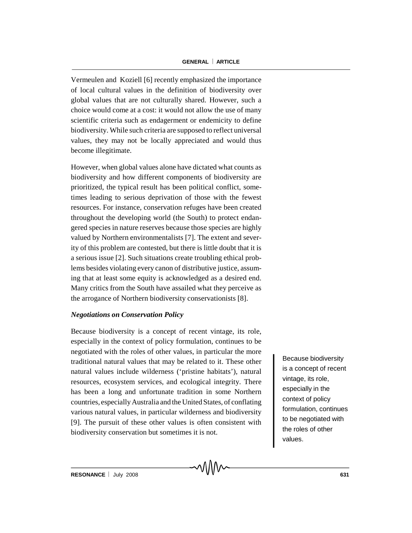Vermeulen and Koziell [6] recently emphasized the importance of local cultural values in the definition of biodiversity over global values that are not culturally shared. However, such a choice would come at a cost: it would not allow the use of many scientific criteria such as endagerment or endemicity to define biodiversity. While such criteria are supposed to reflect universal values, they may not be locally appreciated and would thus become illegitimate.

However, when global values alone have dictated what counts as biodiversity and how different components of biodiversity are prioritized, the typical result has been political conflict, sometimes leading to serious deprivation of those with the fewest resources. For instance, conservation refuges have been created throughout the developing world (the South) to protect endangered species in nature reserves because those species are highly valued by Northern environmentalists [7]. The extent and severity of this problem are contested, but there is little doubt that it is a serious issue [2]. Such situations create troubling ethical problems besides violating every canon of distributive justice, assuming that at least some equity is acknowledged as a desired end. Many critics from the South have assailed what they perceive as the arrogance of Northern biodiversity conservationists [8].

# *Negotiations on Conservation Policy*

Because biodiversity is a concept of recent vintage, its role, especially in the context of policy formulation, continues to be negotiated with the roles of other values, in particular the more traditional natural values that may be related to it. These other natural values include wilderness ('pristine habitats'), natural resources, ecosystem services, and ecological integrity*.* There has been a long and unfortunate tradition in some Northern countries, especially Australia and the United States, of conflating various natural values, in particular wilderness and biodiversity [9]. The pursuit of these other values is often consistent with biodiversity conservation but sometimes it is not.

Because biodiversity is a concept of recent vintage, its role, especially in the context of policy formulation, continues to be negotiated with the roles of other values.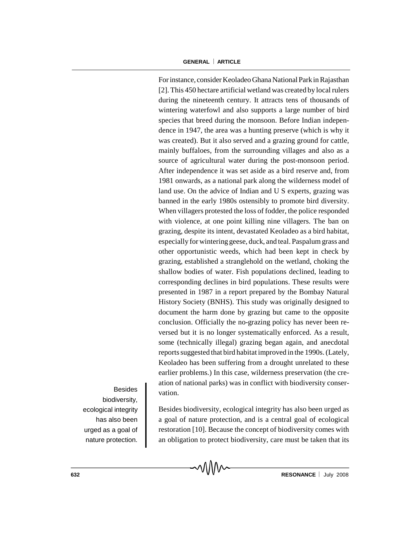#### **GENERAL ARTICLE**

For instance, consider Keoladeo Ghana National Park in Rajasthan [2]. This 450 hectare artificial wetland was created by local rulers during the nineteenth century. It attracts tens of thousands of wintering waterfowl and also supports a large number of bird species that breed during the monsoon. Before Indian independence in 1947, the area was a hunting preserve (which is why it was created). But it also served and a grazing ground for cattle, mainly buffaloes, from the surrounding villages and also as a source of agricultural water during the post-monsoon period. After independence it was set aside as a bird reserve and, from 1981 onwards, as a national park along the wilderness model of land use. On the advice of Indian and U S experts, grazing was banned in the early 1980s ostensibly to promote bird diversity. When villagers protested the loss of fodder, the police responded with violence, at one point killing nine villagers. The ban on grazing, despite its intent, devastated Keoladeo as a bird habitat, especially for wintering geese, duck, and teal. Paspalum grass and other opportunistic weeds, which had been kept in check by grazing, established a stranglehold on the wetland, choking the shallow bodies of water. Fish populations declined, leading to corresponding declines in bird populations. These results were presented in 1987 in a report prepared by the Bombay Natural History Society (BNHS). This study was originally designed to document the harm done by grazing but came to the opposite conclusion. Officially the no-grazing policy has never been reversed but it is no longer systematically enforced. As a result, some (technically illegal) grazing began again, and anecdotal reports suggested that bird habitat improved in the 1990s. (Lately, Keoladeo has been suffering from a drought unrelated to these earlier problems.) In this case, wilderness preservation (the creation of national parks) was in conflict with biodiversity conservation.

Besides biodiversity, ecological integrity has also been urged as a goal of nature protection.

Besides biodiversity, ecological integrity has also been urged as a goal of nature protection, and is a central goal of ecological restoration [10]. Because the concept of biodiversity comes with an obligation to protect biodiversity, care must be taken that its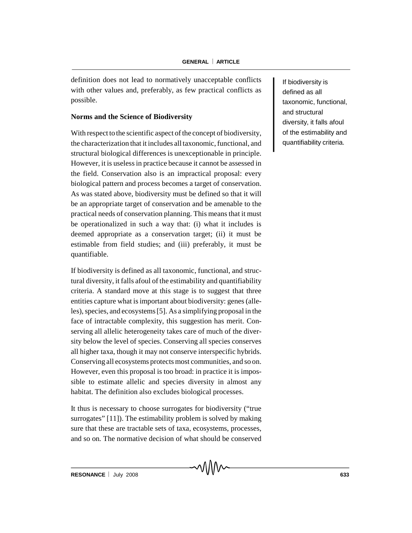definition does not lead to normatively unacceptable conflicts with other values and, preferably, as few practical conflicts as possible.

# **Norms and the Science of Biodiversity**

With respect to the scientific aspect of the concept of biodiversity, the characterization that it includes all taxonomic, functional, and structural biological differences is unexceptionable in principle. However, it is useless in practice because it cannot be assessed in the field. Conservation also is an impractical proposal: every biological pattern and process becomes a target of conservation. As was stated above, biodiversity must be defined so that it will be an appropriate target of conservation and be amenable to the practical needs of conservation planning. This means that it must be operationalized in such a way that: (i) what it includes is deemed appropriate as a conservation target; (ii) it must be estimable from field studies; and (iii) preferably, it must be quantifiable.

If biodiversity is defined as all taxonomic, functional, and structural diversity, it falls afoul of the estimability and quantifiability criteria. A standard move at this stage is to suggest that three entities capture what is important about biodiversity: genes (alleles), species, and ecosystems [5]. As a simplifying proposal in the face of intractable complexity, this suggestion has merit. Conserving all allelic heterogeneity takes care of much of the diversity below the level of species. Conserving all species conserves all higher taxa, though it may not conserve interspecific hybrids. Conserving all ecosystems protects most communities, and so on. However, even this proposal is too broad: in practice it is impossible to estimate allelic and species diversity in almost any habitat. The definition also excludes biological processes.

It thus is necessary to choose surrogates for biodiversity ("true surrogates" [11]). The estimability problem is solved by making sure that these are tractable sets of taxa, ecosystems, processes, and so on*.* The normative decision of what should be conserved

∧∧∧∧

If biodiversity is defined as all taxonomic, functional, and structural diversity, it falls afoul of the estimability and quantifiability criteria.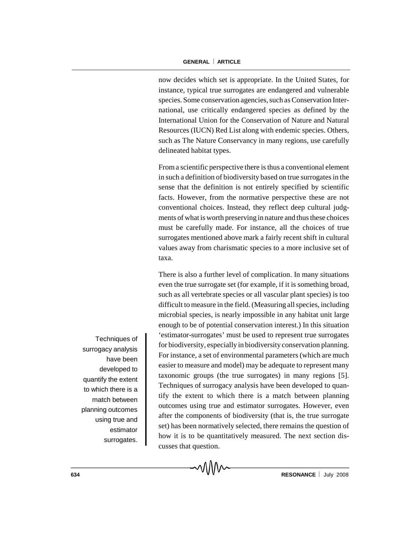now decides which set is appropriate. In the United States, for instance, typical true surrogates are endangered and vulnerable species. Some conservation agencies, such as Conservation International, use critically endangered species as defined by the International Union for the Conservation of Nature and Natural Resources (IUCN) Red List along with endemic species. Others, such as The Nature Conservancy in many regions, use carefully delineated habitat types.

From a scientific perspective there is thus a conventional element in such a definition of biodiversity based on true surrogates in the sense that the definition is not entirely specified by scientific facts. However, from the normative perspective these are not conventional choices. Instead, they reflect deep cultural judgments of what is worth preserving in nature and thus these choices must be carefully made. For instance, all the choices of true surrogates mentioned above mark a fairly recent shift in cultural values away from charismatic species to a more inclusive set of taxa.

There is also a further level of complication. In many situations even the true surrogate set (for example, if it is something broad, such as all vertebrate species or all vascular plant species) is too difficult to measure in the field. (Measuring all species, including microbial species, is nearly impossible in any habitat unit large enough to be of potential conservation interest.) In this situation 'estimator-surrogates' must be used to represent true surrogates for biodiversity, especially in biodiversity conservation planning. For instance, a set of environmental parameters (which are much easier to measure and model) may be adequate to represent many taxonomic groups (the true surrogates) in many regions [5]. Techniques of surrogacy analysis have been developed to quantify the extent to which there is a match between planning outcomes using true and estimator surrogates. However, even after the components of biodiversity (that is, the true surrogate set) has been normatively selected, there remains the question of how it is to be quantitatively measured. The next section discusses that question.

Techniques of surrogacy analysis have been developed to quantify the extent to which there is a match between planning outcomes using true and estimator surrogates.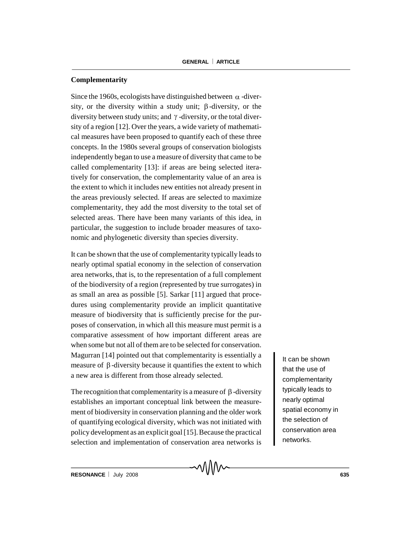#### **Complementarity**

Since the 1960s, ecologists have distinguished between  $\alpha$  -diversity, or the diversity within a study unit;  $\beta$ -diversity, or the diversity between study units; and  $\gamma$ -diversity, or the total diversity of a region [12]. Over the years, a wide variety of mathematical measures have been proposed to quantify each of these three concepts. In the 1980s several groups of conservation biologists independently began to use a measure of diversity that came to be called complementarity [13]: if areas are being selected iteratively for conservation, the complementarity value of an area is the extent to which it includes new entities not already present in the areas previously selected. If areas are selected to maximize complementarity, they add the most diversity to the total set of selected areas. There have been many variants of this idea, in particular, the suggestion to include broader measures of taxonomic and phylogenetic diversity than species diversity.

It can be shown that the use of complementarity typically leads to nearly optimal spatial economy in the selection of conservation area networks, that is, to the representation of a full complement of the biodiversity of a region (represented by true surrogates) in as small an area as possible [5]. Sarkar [11] argued that procedures using complementarity provide an implicit quantitative measure of biodiversity that is sufficiently precise for the purposes of conservation, in which all this measure must permit is a comparative assessment of how important different areas are when some but not all of them are to be selected for conservation. Magurran [14] pointed out that complementarity is essentially a measure of  $\beta$ -diversity because it quantifies the extent to which a new area is different from those already selected.

The recognition that complementarity is a measure of  $\beta$ -diversity establishes an important conceptual link between the measurement of biodiversity in conservation planning and the older work of quantifying ecological diversity, which was not initiated with policy development as an explicit goal [15]. Because the practical selection and implementation of conservation area networks is

MM

It can be shown that the use of complementarity typically leads to nearly optimal spatial economy in the selection of conservation area networks.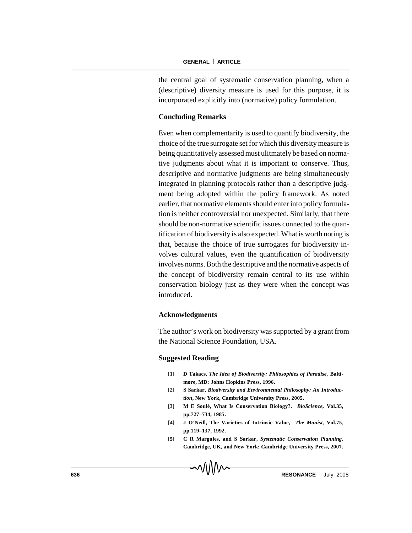the central goal of systematic conservation planning, when a (descriptive) diversity measure is used for this purpose, it is incorporated explicitly into (normative) policy formulation.

#### **Concluding Remarks**

Even when complementarity is used to quantify biodiversity, the choice of the true surrogate set for which this diversity measure is being quantitatively assessed must ulitmately be based on normative judgments about what it is important to conserve. Thus, descriptive and normative judgments are being simultaneously integrated in planning protocols rather than a descriptive judgment being adopted within the policy framework. As noted earlier, that normative elements should enter into policy formulation is neither controversial nor unexpected. Similarly, that there should be non-normative scientific issues connected to the quantification of biodiversity is also expected. What is worth noting is that, because the choice of true surrogates for biodiversity involves cultural values, even the quantification of biodiversity involves norms. Both the descriptive and the normative aspects of the concept of biodiversity remain central to its use within conservation biology just as they were when the concept was introduced.

#### **Acknowledgments**

The author's work on biodiversity was supported by a grant from the National Science Foundation, USA.

#### **Suggested Reading**

- **[1] D Takacs,** *The Idea of Biodiversity: Philosophies of Paradise,* **Baltimore, MD: Johns Hopkins Press, 1996.**
- **[2] S Sarkar,** *Biodiversity and Environmental Philosophy: An Introduction***, New York, Cambridge University Press, 2005.**
- **[3] M E Soulé, What Is Conservation Biology?.** *BioScience,* **Vol.35, pp.727–734, 1985.**
- **[4] J O'Neill, The Varieties of Intrinsic Value,** *The Monist,* **Vol.75**, **pp.119–137, 1992.**
- **[5] C R Margules, and S Sarkar,** *Systematic Conservation Planning.* **Cambridge, UK, and New York: Cambridge University Press, 2007.**